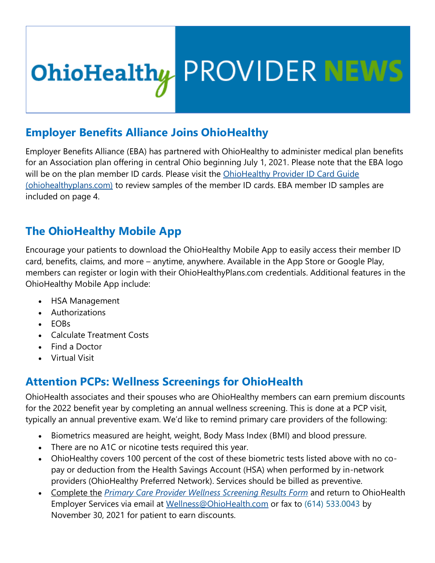# **OhioHealthy PROVIDER NEWS**

### **Employer Benefits Alliance Joins OhioHealthy**

Employer Benefits Alliance (EBA) has partnered with OhioHealthy to administer medical plan benefits for an Association plan offering in central Ohio beginning July 1, 2021. Please note that the EBA logo will be on the plan member ID cards. Please visit the OhioHealthy Provider ID Card Guide [\(ohiohealthyplans.com\)](https://clicktime.symantec.com/a/1/VEewI7rYnHlweFZkvFiqXFUMEHDmirtVm0OTtJQqbA0=?d=bR9fPQ2r2F-AFxu5QiLxPmWMcmW2lOHukKX32gU0EZ1g3R036y02iJ5jD-3kB8Sdka3HX2KiSZtlKBcQkAdZtS2e6pN4mRW5o4Wd_ZA4lrsBMo5TlLNeGC9fB3PB0rO-svBrL35xkXFhduEEPw6xoslFJatmeIKzeSXExZAbJ9gUpIETeT32q7Q5do7y-XqhLPrr3lmjmmXHfrAPw0XSO3MB9cPEWvur6unlpbnGQpY66lPAId9TtHaaHOrMwZ1Ulqnzj_TPYwYEB5Dla0f6babcKMWVXHovJ1QZvk4Pfn6rprSm3OLrLIQ0Z1Tpg5P9kSbbmKdbauZciGurn1gcE6zcWM9BIdCAjnSmLq9hqIA54bgKtI_oidahs7r7-4FyfOzXaCD-atj5EMS_9vEEdGJP2EagDWZQJqQToRS-T0Q9xWQFBgE%3D&u=https%3A%2F%2Fohcommunications.ohiohealth.com%2FPoliteMail%2Fdefault.aspx%3Fpage%3DdgpQTqMV8UeAsm0J-DcebQ%26ref_id%3Dr-rGyKtpoEWvD6nbER8Y0w) to review samples of the member ID cards. EBA member ID samples are included on page 4.

# **The OhioHealthy Mobile App**

Encourage your patients to download the OhioHealthy Mobile App to easily access their member ID card, benefits, claims, and more – anytime, anywhere. Available in the App Store or Google Play, members can register or login with their OhioHealthyPlans.com credentials. Additional features in the OhioHealthy Mobile App include:

- HSA Management
- Authorizations
- EOBs
- Calculate Treatment Costs
- Find a Doctor
- Virtual Visit

# **Attention PCPs: Wellness Screenings for OhioHealth**

OhioHealth associates and their spouses who are OhioHealthy members can earn premium discounts for the 2022 benefit year by completing an annual wellness screening. This is done at a PCP visit, typically an annual preventive exam. We'd like to remind primary care providers of the following:

- Biometrics measured are height, weight, Body Mass Index (BMI) and blood pressure.
- There are no A1C or nicotine tests required this year.
- OhioHealthy covers 100 percent of the cost of these biometric tests listed above with no copay or deduction from the Health Savings Account (HSA) when performed by in-network providers (OhioHealthy Preferred Network). Services should be billed as preventive.
- Complete the *[Primary Care Provider Wellness Screening Results Form](https://clicktime.symantec.com/a/1/vccZHa7hNdVTZf-bsomd60O43t6TwDO-x5TWWqqs_tU=?d=bR9fPQ2r2F-AFxu5QiLxPmWMcmW2lOHukKX32gU0EZ1g3R036y02iJ5jD-3kB8Sdka3HX2KiSZtlKBcQkAdZtS2e6pN4mRW5o4Wd_ZA4lrsBMo5TlLNeGC9fB3PB0rO-svBrL35xkXFhduEEPw6xoslFJatmeIKzeSXExZAbJ9gUpIETeT32q7Q5do7y-XqhLPrr3lmjmmXHfrAPw0XSO3MB9cPEWvur6unlpbnGQpY66lPAId9TtHaaHOrMwZ1Ulqnzj_TPYwYEB5Dla0f6babcKMWVXHovJ1QZvk4Pfn6rprSm3OLrLIQ0Z1Tpg5P9kSbbmKdbauZciGurn1gcE6zcWM9BIdCAjnSmLq9hqIA54bgKtI_oidahs7r7-4FyfOzXaCD-atj5EMS_9vEEdGJP2EagDWZQJqQToRS-T0Q9xWQFBgE%3D&u=https%3A%2F%2Fohcommunications.ohiohealth.com%2FPoliteMail%2Fdefault.aspx%3Fpage%3DHFHSiiOjuEqEzYPavnf1yQ%26ref_id%3Dr-rGyKtpoEWvD6nbER8Y0w)* and return to OhioHealth Employer Services via email at [Wellness@OhioHealth.com](mailto:Wellness@OhioHealth.com) or fax to (614) 533.0043 by November 30, 2021 for patient to earn discounts.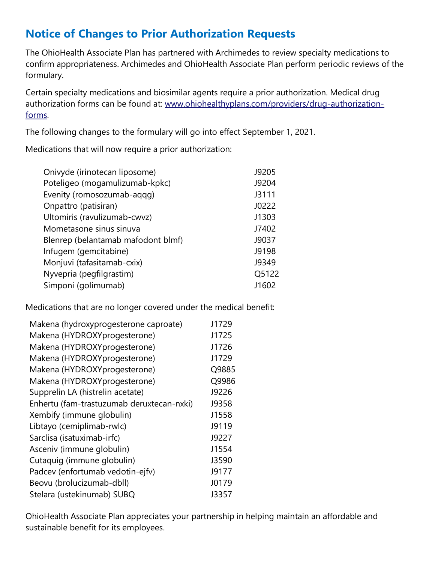# **Notice of Changes to Prior Authorization Requests**

The OhioHealth Associate Plan has partnered with Archimedes to review specialty medications to confirm appropriateness. Archimedes and OhioHealth Associate Plan perform periodic reviews of the formulary.

Certain specialty medications and biosimilar agents require a prior authorization. Medical drug authorization forms can be found at: [www.ohiohealthyplans.com/providers/drug-authorization](https://clicktime.symantec.com/a/1/5IoK4CGXbXI8er59hPb09LizwyTGtGS7tx2l2m-z-Es=?d=bR9fPQ2r2F-AFxu5QiLxPmWMcmW2lOHukKX32gU0EZ1g3R036y02iJ5jD-3kB8Sdka3HX2KiSZtlKBcQkAdZtS2e6pN4mRW5o4Wd_ZA4lrsBMo5TlLNeGC9fB3PB0rO-svBrL35xkXFhduEEPw6xoslFJatmeIKzeSXExZAbJ9gUpIETeT32q7Q5do7y-XqhLPrr3lmjmmXHfrAPw0XSO3MB9cPEWvur6unlpbnGQpY66lPAId9TtHaaHOrMwZ1Ulqnzj_TPYwYEB5Dla0f6babcKMWVXHovJ1QZvk4Pfn6rprSm3OLrLIQ0Z1Tpg5P9kSbbmKdbauZciGurn1gcE6zcWM9BIdCAjnSmLq9hqIA54bgKtI_oidahs7r7-4FyfOzXaCD-atj5EMS_9vEEdGJP2EagDWZQJqQToRS-T0Q9xWQFBgE%3D&u=https%3A%2F%2Fohcommunications.ohiohealth.com%2FPoliteMail%2Fdefault.aspx%3Fpage%3DP_25Se8lb02tk666AKLAzA%26ref_id%3Dr-rGyKtpoEWvD6nbER8Y0w)[forms.](https://clicktime.symantec.com/a/1/5IoK4CGXbXI8er59hPb09LizwyTGtGS7tx2l2m-z-Es=?d=bR9fPQ2r2F-AFxu5QiLxPmWMcmW2lOHukKX32gU0EZ1g3R036y02iJ5jD-3kB8Sdka3HX2KiSZtlKBcQkAdZtS2e6pN4mRW5o4Wd_ZA4lrsBMo5TlLNeGC9fB3PB0rO-svBrL35xkXFhduEEPw6xoslFJatmeIKzeSXExZAbJ9gUpIETeT32q7Q5do7y-XqhLPrr3lmjmmXHfrAPw0XSO3MB9cPEWvur6unlpbnGQpY66lPAId9TtHaaHOrMwZ1Ulqnzj_TPYwYEB5Dla0f6babcKMWVXHovJ1QZvk4Pfn6rprSm3OLrLIQ0Z1Tpg5P9kSbbmKdbauZciGurn1gcE6zcWM9BIdCAjnSmLq9hqIA54bgKtI_oidahs7r7-4FyfOzXaCD-atj5EMS_9vEEdGJP2EagDWZQJqQToRS-T0Q9xWQFBgE%3D&u=https%3A%2F%2Fohcommunications.ohiohealth.com%2FPoliteMail%2Fdefault.aspx%3Fpage%3DP_25Se8lb02tk666AKLAzA%26ref_id%3Dr-rGyKtpoEWvD6nbER8Y0w) 

The following changes to the formulary will go into effect September 1, 2021.

Medications that will now require a prior authorization:

| Onivyde (irinotecan liposome)      | J9205 |
|------------------------------------|-------|
| Poteligeo (mogamulizumab-kpkc)     | J9204 |
| Evenity (romosozumab-aqqq)         | J3111 |
| Onpattro (patisiran)               | J0222 |
| Ultomiris (ravulizumab-cwvz)       | J1303 |
| Mometasone sinus sinuva            | J7402 |
| Blenrep (belantamab mafodont blmf) | J9037 |
| Infugem (gemcitabine)              | J9198 |
| Monjuvi (tafasitamab-cxix)         | J9349 |
| Nyvepria (pegfilgrastim)           | Q5122 |
| Simponi (golimumab)                | J1602 |

Medications that are no longer covered under the medical benefit:

| Makena (hydroxyprogesterone caproate)     | J1729 |
|-------------------------------------------|-------|
| Makena (HYDROXYprogesterone)              | J1725 |
| Makena (HYDROXYprogesterone)              | J1726 |
| Makena (HYDROXYprogesterone)              | J1729 |
| Makena (HYDROXYprogesterone)              | Q9885 |
| Makena (HYDROXYprogesterone)              | Q9986 |
| Supprelin LA (histrelin acetate)          | J9226 |
| Enhertu (fam-trastuzumab deruxtecan-nxki) | J9358 |
| Xembify (immune globulin)                 | J1558 |
| Libtayo (cemiplimab-rwlc)                 | J9119 |
| Sarclisa (isatuximab-irfc)                | J9227 |
| Asceniv (immune globulin)                 | J1554 |
| Cutaquig (immune globulin)                | J3590 |
| Padcev (enfortumab vedotin-ejfv)          | J9177 |
| Beovu (brolucizumab-dbll)                 | J0179 |
| Stelara (ustekinumab) SUBQ                | J3357 |

OhioHealth Associate Plan appreciates your partnership in helping maintain an affordable and sustainable benefit for its employees.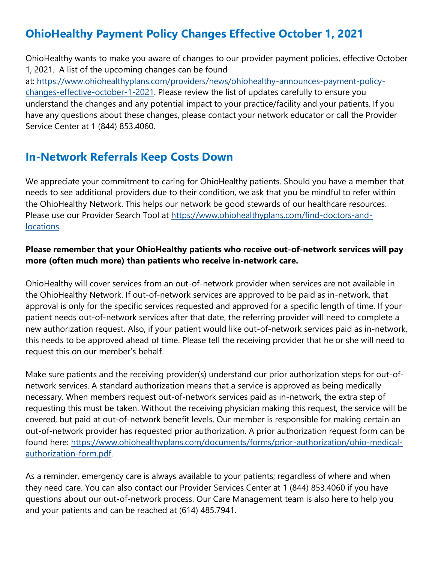# **OhioHealthy Payment Policy Changes Effective October 1, 2021**

OhioHealthy wants to make you aware of changes to our provider payment policies, effective October 1, 2021. A list of the upcoming changes can be found at: [https://www.ohiohealthyplans.com/providers/news/ohiohealthy-announces-payment-policy](https://clicktime.symantec.com/a/1/k9t9oVBoni3gMJgMMDKAftwxS2wIHP9mkfJgPRpLlsk=?d=bR9fPQ2r2F-AFxu5QiLxPmWMcmW2lOHukKX32gU0EZ1g3R036y02iJ5jD-3kB8Sdka3HX2KiSZtlKBcQkAdZtS2e6pN4mRW5o4Wd_ZA4lrsBMo5TlLNeGC9fB3PB0rO-svBrL35xkXFhduEEPw6xoslFJatmeIKzeSXExZAbJ9gUpIETeT32q7Q5do7y-XqhLPrr3lmjmmXHfrAPw0XSO3MB9cPEWvur6unlpbnGQpY66lPAId9TtHaaHOrMwZ1Ulqnzj_TPYwYEB5Dla0f6babcKMWVXHovJ1QZvk4Pfn6rprSm3OLrLIQ0Z1Tpg5P9kSbbmKdbauZciGurn1gcE6zcWM9BIdCAjnSmLq9hqIA54bgKtI_oidahs7r7-4FyfOzXaCD-atj5EMS_9vEEdGJP2EagDWZQJqQToRS-T0Q9xWQFBgE%3D&u=https%3A%2F%2Fohcommunications.ohiohealth.com%2FPoliteMail%2Fdefault.aspx%3Fpage%3DGebIKdEXyE6Gp9Hz3YLrAw%26ref_id%3Dr-rGyKtpoEWvD6nbER8Y0w)[changes-effective-october-1-2021.](https://clicktime.symantec.com/a/1/k9t9oVBoni3gMJgMMDKAftwxS2wIHP9mkfJgPRpLlsk=?d=bR9fPQ2r2F-AFxu5QiLxPmWMcmW2lOHukKX32gU0EZ1g3R036y02iJ5jD-3kB8Sdka3HX2KiSZtlKBcQkAdZtS2e6pN4mRW5o4Wd_ZA4lrsBMo5TlLNeGC9fB3PB0rO-svBrL35xkXFhduEEPw6xoslFJatmeIKzeSXExZAbJ9gUpIETeT32q7Q5do7y-XqhLPrr3lmjmmXHfrAPw0XSO3MB9cPEWvur6unlpbnGQpY66lPAId9TtHaaHOrMwZ1Ulqnzj_TPYwYEB5Dla0f6babcKMWVXHovJ1QZvk4Pfn6rprSm3OLrLIQ0Z1Tpg5P9kSbbmKdbauZciGurn1gcE6zcWM9BIdCAjnSmLq9hqIA54bgKtI_oidahs7r7-4FyfOzXaCD-atj5EMS_9vEEdGJP2EagDWZQJqQToRS-T0Q9xWQFBgE%3D&u=https%3A%2F%2Fohcommunications.ohiohealth.com%2FPoliteMail%2Fdefault.aspx%3Fpage%3DGebIKdEXyE6Gp9Hz3YLrAw%26ref_id%3Dr-rGyKtpoEWvD6nbER8Y0w) Please review the list of updates carefully to ensure you understand the changes and any potential impact to your practice/facility and your patients. If you have any questions about these changes, please contact your network educator or call the Provider Service Center at 1 (844) 853.4060.

#### **In-Network Referrals Keep Costs Down**

We appreciate your commitment to caring for OhioHealthy patients. Should you have a member that needs to see additional providers due to their condition, we ask that you be mindful to refer within the OhioHealthy Network. This helps our network be good stewards of our healthcare resources. Please use our Provider Search Tool at [https://www.ohiohealthyplans.com/find-doctors-and](https://clicktime.symantec.com/a/1/cJIECOmP7cF_ZTof3Aln_vVlgy_8mIwhQ9gFcgVw91w=?d=bR9fPQ2r2F-AFxu5QiLxPmWMcmW2lOHukKX32gU0EZ1g3R036y02iJ5jD-3kB8Sdka3HX2KiSZtlKBcQkAdZtS2e6pN4mRW5o4Wd_ZA4lrsBMo5TlLNeGC9fB3PB0rO-svBrL35xkXFhduEEPw6xoslFJatmeIKzeSXExZAbJ9gUpIETeT32q7Q5do7y-XqhLPrr3lmjmmXHfrAPw0XSO3MB9cPEWvur6unlpbnGQpY66lPAId9TtHaaHOrMwZ1Ulqnzj_TPYwYEB5Dla0f6babcKMWVXHovJ1QZvk4Pfn6rprSm3OLrLIQ0Z1Tpg5P9kSbbmKdbauZciGurn1gcE6zcWM9BIdCAjnSmLq9hqIA54bgKtI_oidahs7r7-4FyfOzXaCD-atj5EMS_9vEEdGJP2EagDWZQJqQToRS-T0Q9xWQFBgE%3D&u=https%3A%2F%2Fohcommunications.ohiohealth.com%2FPoliteMail%2Fdefault.aspx%3Fpage%3Dl8p2qGYt_ka6l75XgG6FTQ%26ref_id%3Dr-rGyKtpoEWvD6nbER8Y0w)[locations.](https://clicktime.symantec.com/a/1/cJIECOmP7cF_ZTof3Aln_vVlgy_8mIwhQ9gFcgVw91w=?d=bR9fPQ2r2F-AFxu5QiLxPmWMcmW2lOHukKX32gU0EZ1g3R036y02iJ5jD-3kB8Sdka3HX2KiSZtlKBcQkAdZtS2e6pN4mRW5o4Wd_ZA4lrsBMo5TlLNeGC9fB3PB0rO-svBrL35xkXFhduEEPw6xoslFJatmeIKzeSXExZAbJ9gUpIETeT32q7Q5do7y-XqhLPrr3lmjmmXHfrAPw0XSO3MB9cPEWvur6unlpbnGQpY66lPAId9TtHaaHOrMwZ1Ulqnzj_TPYwYEB5Dla0f6babcKMWVXHovJ1QZvk4Pfn6rprSm3OLrLIQ0Z1Tpg5P9kSbbmKdbauZciGurn1gcE6zcWM9BIdCAjnSmLq9hqIA54bgKtI_oidahs7r7-4FyfOzXaCD-atj5EMS_9vEEdGJP2EagDWZQJqQToRS-T0Q9xWQFBgE%3D&u=https%3A%2F%2Fohcommunications.ohiohealth.com%2FPoliteMail%2Fdefault.aspx%3Fpage%3Dl8p2qGYt_ka6l75XgG6FTQ%26ref_id%3Dr-rGyKtpoEWvD6nbER8Y0w) 

#### **Please remember that your OhioHealthy patients who receive out-of-network services will pay more (often much more) than patients who receive in-network care.**

OhioHealthy will cover services from an out-of-network provider when services are not available in the OhioHealthy Network. If out-of-network services are approved to be paid as in-network, that approval is only for the specific services requested and approved for a specific length of time. If your patient needs out-of-network services after that date, the referring provider will need to complete a new authorization request. Also, if your patient would like out-of-network services paid as in-network, this needs to be approved ahead of time. Please tell the receiving provider that he or she will need to request this on our member's behalf.

Make sure patients and the receiving provider(s) understand our prior authorization steps for out-ofnetwork services. A standard authorization means that a service is approved as being medically necessary. When members request out-of-network services paid as in-network, the extra step of requesting this must be taken. Without the receiving physician making this request, the service will be covered, but paid at out-of-network benefit levels. Our member is responsible for making certain an out-of-network provider has requested prior authorization. A prior authorization request form can be found here: [https://www.ohiohealthyplans.com/documents/forms/prior-authorization/ohio-medical](https://clicktime.symantec.com/a/1/Dkog8YtIx2Yka_f5aqWrUs_qf7t1vJ6wLWSADu6W7x0=?d=bR9fPQ2r2F-AFxu5QiLxPmWMcmW2lOHukKX32gU0EZ1g3R036y02iJ5jD-3kB8Sdka3HX2KiSZtlKBcQkAdZtS2e6pN4mRW5o4Wd_ZA4lrsBMo5TlLNeGC9fB3PB0rO-svBrL35xkXFhduEEPw6xoslFJatmeIKzeSXExZAbJ9gUpIETeT32q7Q5do7y-XqhLPrr3lmjmmXHfrAPw0XSO3MB9cPEWvur6unlpbnGQpY66lPAId9TtHaaHOrMwZ1Ulqnzj_TPYwYEB5Dla0f6babcKMWVXHovJ1QZvk4Pfn6rprSm3OLrLIQ0Z1Tpg5P9kSbbmKdbauZciGurn1gcE6zcWM9BIdCAjnSmLq9hqIA54bgKtI_oidahs7r7-4FyfOzXaCD-atj5EMS_9vEEdGJP2EagDWZQJqQToRS-T0Q9xWQFBgE%3D&u=https%3A%2F%2Fohcommunications.ohiohealth.com%2FPoliteMail%2Fdefault.aspx%3Fpage%3D72KNFp_1MEqUfWGpzHIhBA%26ref_id%3Dr-rGyKtpoEWvD6nbER8Y0w)[authorization-form.pdf.](https://clicktime.symantec.com/a/1/Dkog8YtIx2Yka_f5aqWrUs_qf7t1vJ6wLWSADu6W7x0=?d=bR9fPQ2r2F-AFxu5QiLxPmWMcmW2lOHukKX32gU0EZ1g3R036y02iJ5jD-3kB8Sdka3HX2KiSZtlKBcQkAdZtS2e6pN4mRW5o4Wd_ZA4lrsBMo5TlLNeGC9fB3PB0rO-svBrL35xkXFhduEEPw6xoslFJatmeIKzeSXExZAbJ9gUpIETeT32q7Q5do7y-XqhLPrr3lmjmmXHfrAPw0XSO3MB9cPEWvur6unlpbnGQpY66lPAId9TtHaaHOrMwZ1Ulqnzj_TPYwYEB5Dla0f6babcKMWVXHovJ1QZvk4Pfn6rprSm3OLrLIQ0Z1Tpg5P9kSbbmKdbauZciGurn1gcE6zcWM9BIdCAjnSmLq9hqIA54bgKtI_oidahs7r7-4FyfOzXaCD-atj5EMS_9vEEdGJP2EagDWZQJqQToRS-T0Q9xWQFBgE%3D&u=https%3A%2F%2Fohcommunications.ohiohealth.com%2FPoliteMail%2Fdefault.aspx%3Fpage%3D72KNFp_1MEqUfWGpzHIhBA%26ref_id%3Dr-rGyKtpoEWvD6nbER8Y0w)

As a reminder, emergency care is always available to your patients; regardless of where and when they need care. You can also contact our Provider Services Center at 1 (844) 853.4060 if you have questions about our out-of-network process. Our Care Management team is also here to help you and your patients and can be reached at (614) 485.7941.